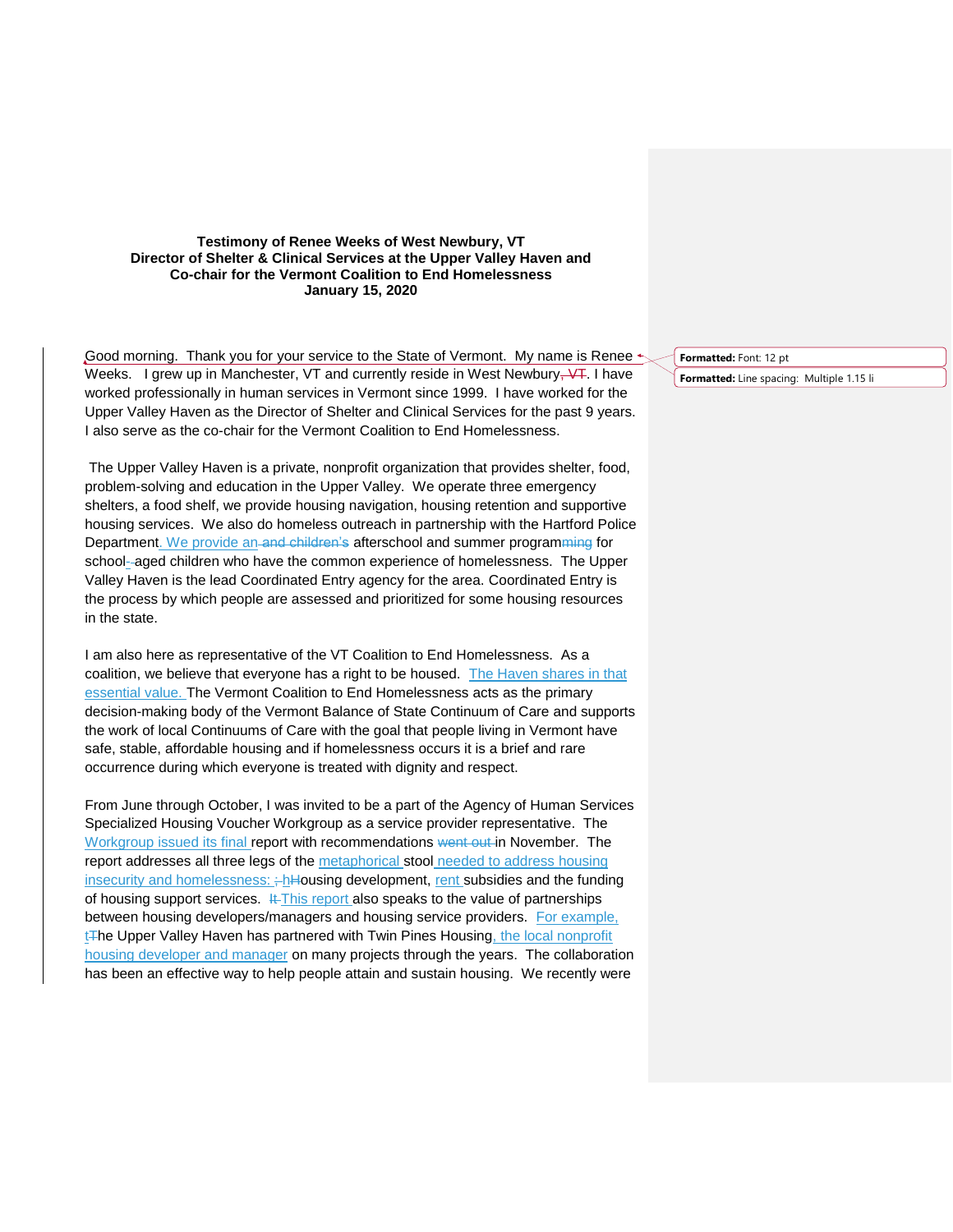## **Testimony of Renee Weeks of West Newbury, VT Director of Shelter & Clinical Services at the Upper Valley Haven and Co-chair for the Vermont Coalition to End Homelessness January 15, 2020**

Good morning. Thank you for your service to the State of Vermont. My name is Renee  $\triangleleft$ Weeks. I grew up in Manchester, VT and currently reside in West Newbury,  $\sqrt{1}$ . I have worked professionally in human services in Vermont since 1999. I have worked for the Upper Valley Haven as the Director of Shelter and Clinical Services for the past 9 years. I also serve as the co-chair for the Vermont Coalition to End Homelessness.

The Upper Valley Haven is a private, nonprofit organization that provides shelter, food, problem-solving and education in the Upper Valley. We operate three emergency shelters, a food shelf, we provide housing navigation, housing retention and supportive housing services. We also do homeless outreach in partnership with the Hartford Police Department. We provide an-and-children's afterschool and summer programming for school--aged children who have the common experience of homelessness. The Upper Valley Haven is the lead Coordinated Entry agency for the area. Coordinated Entry is the process by which people are assessed and prioritized for some housing resources in the state.

I am also here as representative of the VT Coalition to End Homelessness. As a coalition, we believe that everyone has a right to be housed. The Haven shares in that essential value. The Vermont Coalition to End Homelessness acts as the primary decision-making body of the Vermont Balance of State Continuum of Care and supports the work of local Continuums of Care with the goal that people living in Vermont have safe, stable, affordable housing and if homelessness occurs it is a brief and rare occurrence during which everyone is treated with dignity and respect.

From June through October, I was invited to be a part of the Agency of Human Services Specialized Housing Voucher Workgroup as a service provider representative. The Workgroup issued its final report with recommendations went out in November. The report addresses all three legs of the metaphorical stool needed to address housing insecurity and homelessness:  $\frac{1}{2}$ hHousing development, rent subsidies and the funding of housing support services. It This report also speaks to the value of partnerships between housing developers/managers and housing service providers. For example,  $tF$ he Upper Valley Haven has partnered with Twin Pines Housing, the local nonprofit housing developer and manager on many projects through the years. The collaboration has been an effective way to help people attain and sustain housing. We recently were

**Formatted:** Font: 12 pt **Formatted:** Line spacing: Multiple 1.15 li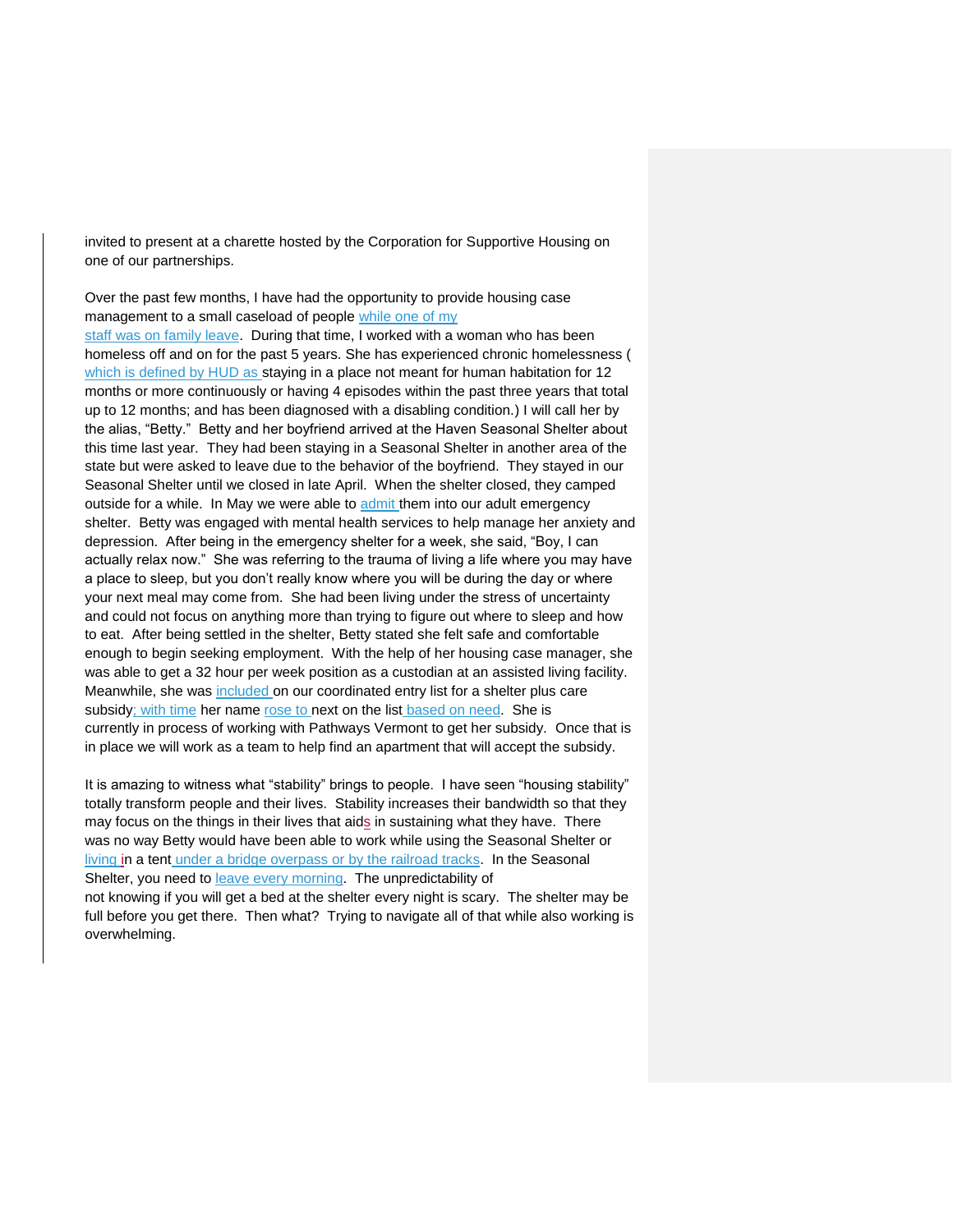invited to present at a charette hosted by the Corporation for Supportive Housing on one of our partnerships.

Over the past few months, I have had the opportunity to provide housing case management to a small caseload of people while one of my

staff was on family leave. During that time, I worked with a woman who has been homeless off and on for the past 5 years. She has experienced chronic homelessness ( which is defined by HUD as staying in a place not meant for human habitation for 12 months or more continuously or having 4 episodes within the past three years that total up to 12 months; and has been diagnosed with a disabling condition.) I will call her by the alias, "Betty." Betty and her boyfriend arrived at the Haven Seasonal Shelter about this time last year. They had been staying in a Seasonal Shelter in another area of the state but were asked to leave due to the behavior of the boyfriend. They stayed in our Seasonal Shelter until we closed in late April. When the shelter closed, they camped outside for a while. In May we were able to admit them into our adult emergency shelter. Betty was engaged with mental health services to help manage her anxiety and depression. After being in the emergency shelter for a week, she said, "Boy, I can actually relax now." She was referring to the trauma of living a life where you may have a place to sleep, but you don't really know where you will be during the day or where your next meal may come from. She had been living under the stress of uncertainty and could not focus on anything more than trying to figure out where to sleep and how to eat. After being settled in the shelter, Betty stated she felt safe and comfortable enough to begin seeking employment. With the help of her housing case manager, she was able to get a 32 hour per week position as a custodian at an assisted living facility. Meanwhile, she was included on our coordinated entry list for a shelter plus care subsidy; with time her name rose to next on the list based on need. She is currently in process of working with Pathways Vermont to get her subsidy. Once that is in place we will work as a team to help find an apartment that will accept the subsidy.

It is amazing to witness what "stability" brings to people. I have seen "housing stability" totally transform people and their lives. Stability increases their bandwidth so that they may focus on the things in their lives that aids in sustaining what they have. There was no way Betty would have been able to work while using the Seasonal Shelter or living in a tent under a bridge overpass or by the railroad tracks. In the Seasonal Shelter, you need to leave every morning. The unpredictability of not knowing if you will get a bed at the shelter every night is scary. The shelter may be full before you get there. Then what? Trying to navigate all of that while also working is overwhelming.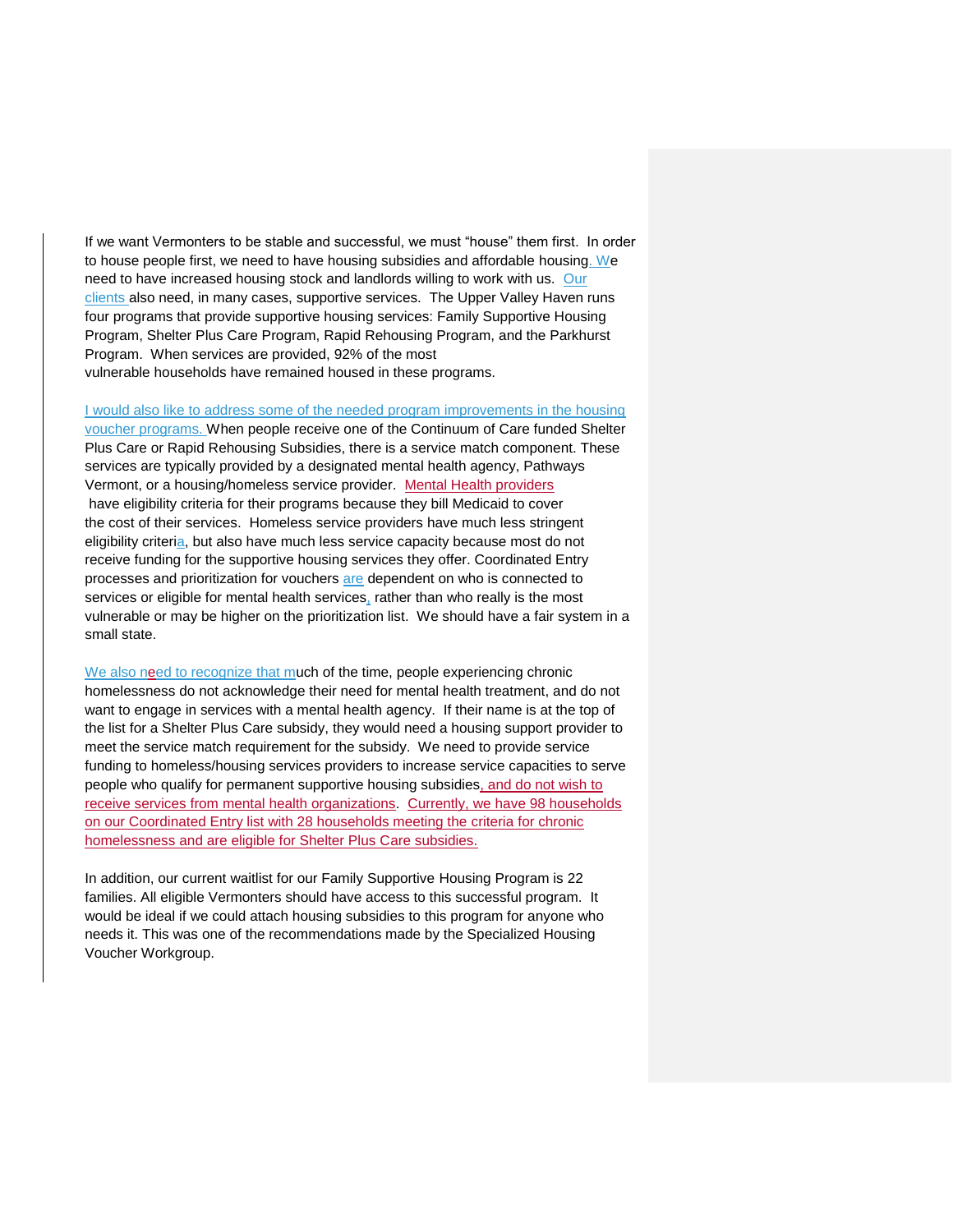If we want Vermonters to be stable and successful, we must "house" them first. In order to house people first, we need to have housing subsidies and affordable housing. We need to have increased housing stock and landlords willing to work with us. Our clients also need, in many cases, supportive services. The Upper Valley Haven runs four programs that provide supportive housing services: Family Supportive Housing Program, Shelter Plus Care Program, Rapid Rehousing Program, and the Parkhurst Program. When services are provided, 92% of the most vulnerable households have remained housed in these programs.

I would also like to address some of the needed program improvements in the housing

voucher programs. When people receive one of the Continuum of Care funded Shelter Plus Care or Rapid Rehousing Subsidies, there is a service match component. These services are typically provided by a designated mental health agency, Pathways Vermont, or a housing/homeless service provider. Mental Health providers have eligibility criteria for their programs because they bill Medicaid to cover the cost of their services. Homeless service providers have much less stringent eligibility criteria, but also have much less service capacity because most do not receive funding for the supportive housing services they offer. Coordinated Entry processes and prioritization for vouchers are dependent on who is connected to services or eligible for mental health services, rather than who really is the most vulnerable or may be higher on the prioritization list. We should have a fair system in a small state.

We also need to recognize that much of the time, people experiencing chronic homelessness do not acknowledge their need for mental health treatment, and do not want to engage in services with a mental health agency. If their name is at the top of the list for a Shelter Plus Care subsidy, they would need a housing support provider to meet the service match requirement for the subsidy. We need to provide service funding to homeless/housing services providers to increase service capacities to serve people who qualify for permanent supportive housing subsidies, and do not wish to receive services from mental health organizations. Currently, we have 98 households on our Coordinated Entry list with 28 households meeting the criteria for chronic homelessness and are eligible for Shelter Plus Care subsidies.

In addition, our current waitlist for our Family Supportive Housing Program is 22 families. All eligible Vermonters should have access to this successful program. It would be ideal if we could attach housing subsidies to this program for anyone who needs it. This was one of the recommendations made by the Specialized Housing Voucher Workgroup.